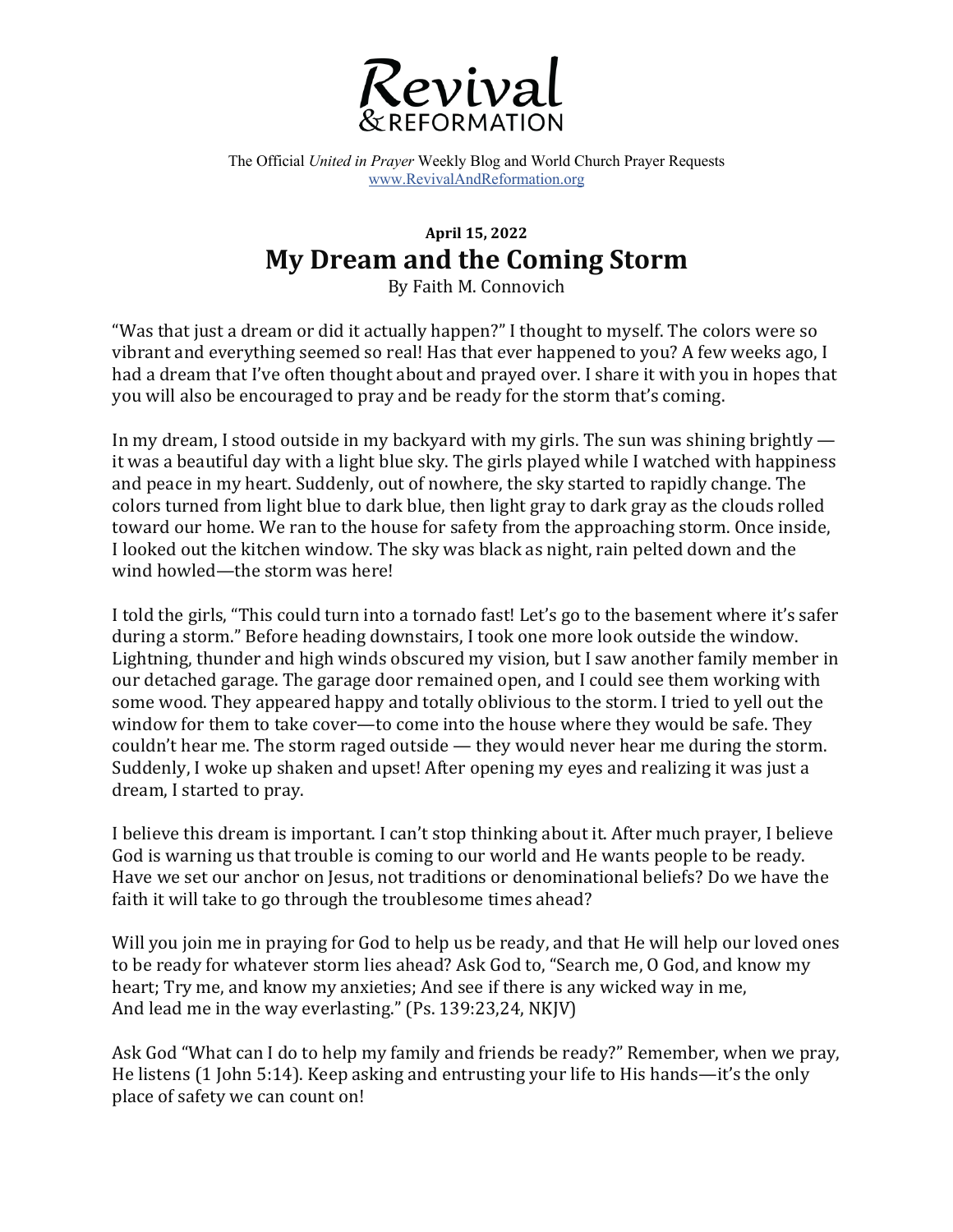

The Official *United in Prayer* Weekly Blog and World Church Prayer Requests www.RevivalAndReformation.org

## **April 15, 2022 My Dream and the Coming Storm**

By Faith M. Connovich

"Was that just a dream or did it actually happen?" I thought to myself. The colors were so vibrant and everything seemed so real! Has that ever happened to you? A few weeks ago, I had a dream that I've often thought about and prayed over. I share it with you in hopes that you will also be encouraged to pray and be ready for the storm that's coming.

In my dream, I stood outside in my backyard with my girls. The sun was shining brightly  $$ it was a beautiful day with a light blue sky. The girls played while I watched with happiness and peace in my heart. Suddenly, out of nowhere, the sky started to rapidly change. The colors turned from light blue to dark blue, then light gray to dark gray as the clouds rolled toward our home. We ran to the house for safety from the approaching storm. Once inside, I looked out the kitchen window. The sky was black as night, rain pelted down and the wind howled—the storm was here!

I told the girls, "This could turn into a tornado fast! Let's go to the basement where it's safer during a storm." Before heading downstairs, I took one more look outside the window. Lightning, thunder and high winds obscured my vision, but I saw another family member in our detached garage. The garage door remained open, and I could see them working with some wood. They appeared happy and totally oblivious to the storm. I tried to yell out the window for them to take cover—to come into the house where they would be safe. They couldn't hear me. The storm raged outside  $-$  they would never hear me during the storm. Suddenly, I woke up shaken and upset! After opening my eyes and realizing it was just a dream, I started to pray.

I believe this dream is important. I can't stop thinking about it. After much prayer, I believe God is warning us that trouble is coming to our world and He wants people to be ready. Have we set our anchor on Jesus, not traditions or denominational beliefs? Do we have the faith it will take to go through the troublesome times ahead?

Will you join me in praying for God to help us be ready, and that He will help our loved ones to be ready for whatever storm lies ahead? Ask God to, "Search me, O God, and know my heart; Try me, and know my anxieties; And see if there is any wicked way in me, And lead me in the way everlasting." (Ps. 139:23,24, NKJV)

Ask God "What can I do to help my family and friends be ready?" Remember, when we pray, He listens (1 John 5:14). Keep asking and entrusting your life to His hands—it's the only place of safety we can count on!